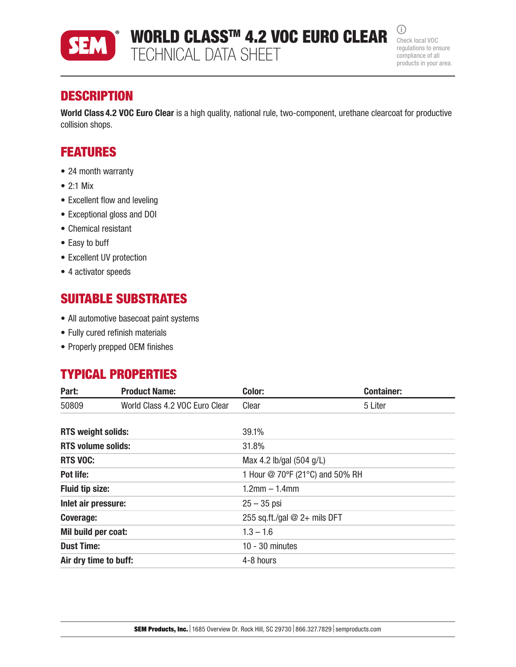

WORLD CLASS<sup>TM</sup> 4.2 VOC EURO CLEAR  $\frac{CD}{CD}$  Check local VOC TECHNICAL DATA SHEET

 $(i)$ regulations to ensure compliance of all products in your area.

## **DESCRIPTION**

World Class 4.2 VOC Euro Clear is a high quality, national rule, two-component, urethane clearcoat for productive collision shops.

## FEATURES

- 24 month warranty
- 2:1 Mix
- Excellent flow and leveling
- Exceptional gloss and DOI
- Chemical resistant
- Easy to buff
- Excellent UV protection
- 4 activator speeds

### SUITABLE SUBSTRATES

- All automotive basecoat paint systems
- Fully cured refinish materials
- Properly prepped OEM finishes

## TYPICAL PROPERTIES

| Part:                     | <b>Product Name:</b>           | Color:                          | <b>Container:</b> |  |
|---------------------------|--------------------------------|---------------------------------|-------------------|--|
| 50809                     | World Class 4.2 VOC Euro Clear | Clear                           | 5 Liter           |  |
| <b>RTS weight solids:</b> |                                | 39.1%                           |                   |  |
| <b>RTS volume solids:</b> |                                | 31.8%                           |                   |  |
| <b>RTS VOC:</b>           |                                | Max 4.2 lb/gal (504 g/L)        |                   |  |
| Pot life:                 |                                | 1 Hour @ 70°F (21°C) and 50% RH |                   |  |
| <b>Fluid tip size:</b>    |                                | $1.2$ mm $- 1.4$ mm             |                   |  |
| Inlet air pressure:       |                                | $25 - 35$ psi                   |                   |  |
| Coverage:                 |                                | 255 sq.ft./gal $@$ 2+ mils DFT  |                   |  |
| Mil build per coat:       |                                | $1.3 - 1.6$                     |                   |  |
| <b>Dust Time:</b>         |                                | $10 - 30$ minutes               |                   |  |
| Air dry time to buff:     |                                | 4-8 hours                       |                   |  |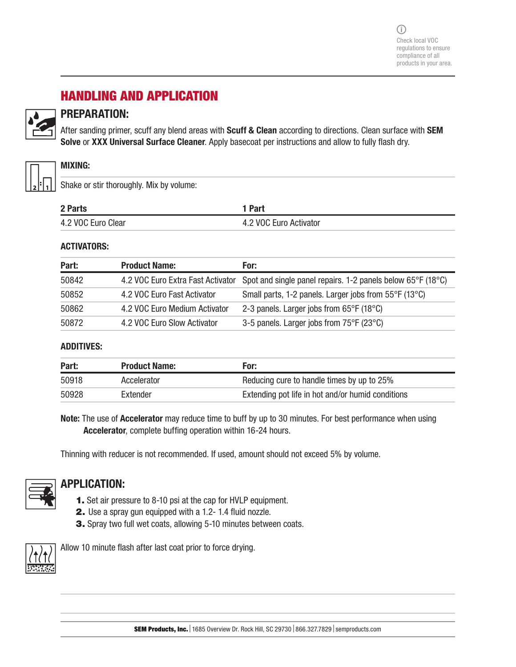# HANDLING AND APPLICATION



### PREPARATION:

After sanding primer, scuff any blend areas with Scuff & Clean according to directions. Clean surface with SEM Solve or XXX Universal Surface Cleaner. Apply basecoat per instructions and allow to fully flash dry.



#### MIXING:

Shake or stir thoroughly. Mix by volume:

| 2 Parts            | 1 Part                 |
|--------------------|------------------------|
| 4.2 VOC Euro Clear | 4.2 VOC Euro Activator |

#### ACTIVATORS:

| Part: | <b>Product Name:</b>          | For:                                                                                          |
|-------|-------------------------------|-----------------------------------------------------------------------------------------------|
| 50842 |                               | 4.2 VOC Euro Extra Fast Activator Spot and single panel repairs. 1-2 panels below 65°F (18°C) |
| 50852 | 4.2 VOC Euro Fast Activator   | Small parts, 1-2 panels. Larger jobs from 55°F (13°C)                                         |
| 50862 | 4.2 VOC Euro Medium Activator | 2-3 panels. Larger jobs from 65°F (18°C)                                                      |
| 50872 | 4.2 VOC Euro Slow Activator   | 3-5 panels. Larger jobs from 75°F (23°C)                                                      |

#### ADDITIVES:

| Part: | <b>Product Name:</b> | For:                                              |
|-------|----------------------|---------------------------------------------------|
| 50918 | Accelerator          | Reducing cure to handle times by up to 25%        |
| 50928 | Extender             | Extending pot life in hot and/or humid conditions |

Note: The use of Accelerator may reduce time to buff by up to 30 minutes. For best performance when using Accelerator, complete buffing operation within 16-24 hours.

Thinning with reducer is not recommended. If used, amount should not exceed 5% by volume.



### APPLICATION:

- 1. Set air pressure to 8-10 psi at the cap for HVLP equipment.
- 2. Use a spray gun equipped with a 1.2- 1.4 fluid nozzle.
- 3. Spray two full wet coats, allowing 5-10 minutes between coats.



Allow 10 minute flash after last coat prior to force drying.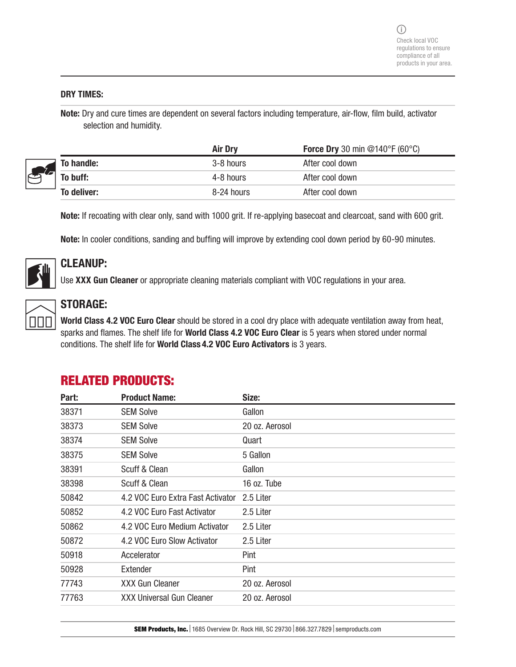#### DRY TIMES:

Note: Dry and cure times are dependent on several factors including temperature, air-flow, film build, activator selection and humidity.

|  |             | <b>Air Dry</b> | <b>Force Dry</b> 30 min @140°F (60°C) |
|--|-------------|----------------|---------------------------------------|
|  | To handle:  | 3-8 hours      | After cool down                       |
|  | To buff:    | 4-8 hours      | After cool down                       |
|  | To deliver: | 8-24 hours     | After cool down                       |

Note: If recoating with clear only, sand with 1000 grit. If re-applying basecoat and clearcoat, sand with 600 grit.

Note: In cooler conditions, sanding and buffing will improve by extending cool down period by 60-90 minutes.



### CLEANUP:

Use XXX Gun Cleaner or appropriate cleaning materials compliant with VOC regulations in your area.



### STORAGE:

World Class 4.2 VOC Euro Clear should be stored in a cool dry place with adequate ventilation away from heat, sparks and flames. The shelf life for World Class 4.2 VOC Euro Clear is 5 years when stored under normal conditions. The shelf life for World Class 4.2 VOC Euro Activators is 3 years.

| Part: | <b>Product Name:</b>              | Size:          |
|-------|-----------------------------------|----------------|
| 38371 | <b>SEM Solve</b>                  | Gallon         |
| 38373 | <b>SEM Solve</b>                  | 20 oz. Aerosol |
| 38374 | <b>SEM Solve</b>                  | Quart          |
| 38375 | <b>SEM Solve</b>                  | 5 Gallon       |
| 38391 | Scuff & Clean                     | Gallon         |
| 38398 | Scuff & Clean                     | 16 oz. Tube    |
| 50842 | 4.2 VOC Euro Extra Fast Activator | 2.5 Liter      |
| 50852 | 4.2 VOC Euro Fast Activator       | 2.5 Liter      |
| 50862 | 4.2 VOC Euro Medium Activator     | 2.5 Liter      |
| 50872 | 4.2 VOC Euro Slow Activator       | 2.5 Liter      |
| 50918 | Accelerator                       | Pint           |
| 50928 | Extender                          | Pint           |
| 77743 | <b>XXX Gun Cleaner</b>            | 20 oz. Aerosol |
| 77763 | <b>XXX Universal Gun Cleaner</b>  | 20 oz. Aerosol |

## RELATED PRODUCTS: